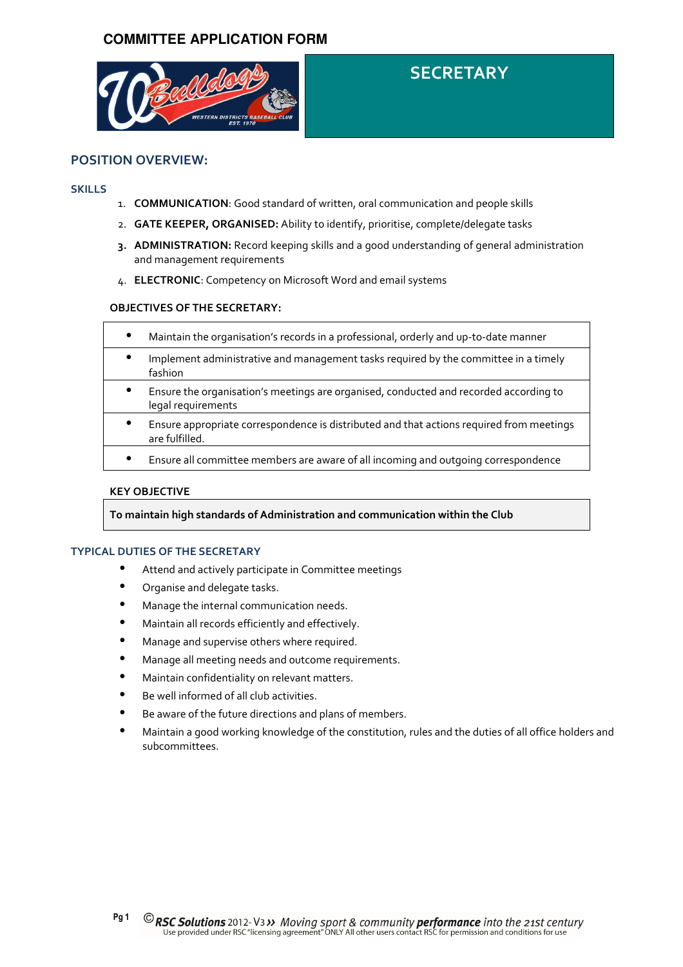

# **SECRETARY**

# POSITION OVERVIEW:

#### **SKILLS**

- 1. **COMMUNICATION**: Good standard of written, oral communication and people skills
- 2. **GATE KEEPER, ORGANISED:** Ability to identify, prioritise, complete/delegate tasks
- 3. ADMINISTRATION: Record keeping skills and a good understanding of general administration and management requirements
- 4. ELECTRONIC: Competency on Microsoft Word and email systems

## OBJECTIVES OF THE SECRETARY:

| $\bullet$ | Maintain the organisation's records in a professional, orderly and up-to-date manner                        |
|-----------|-------------------------------------------------------------------------------------------------------------|
| $\bullet$ | Implement administrative and management tasks required by the committee in a timely<br>fashion              |
| $\bullet$ | Ensure the organisation's meetings are organised, conducted and recorded according to<br>legal requirements |
| $\bullet$ | Ensure appropriate correspondence is distributed and that actions required from meetings<br>are fulfilled.  |
|           | Ensure all committee members are aware of all incoming and outgoing correspondence                          |

#### KEY OBJECTIVE

To maintain high standards of Administration and communication within the Club

### TYPICAL DUTIES OF THE SECRETARY

- Attend and actively participate in Committee meetings
- Organise and delegate tasks.
- Manage the internal communication needs.
- Maintain all records efficiently and effectively.
- Manage and supervise others where required.
- Manage all meeting needs and outcome requirements.
- Maintain confidentiality on relevant matters.
- Be well informed of all club activities.
- Be aware of the future directions and plans of members.
- Maintain a good working knowledge of the constitution, rules and the duties of all office holders and subcommittees.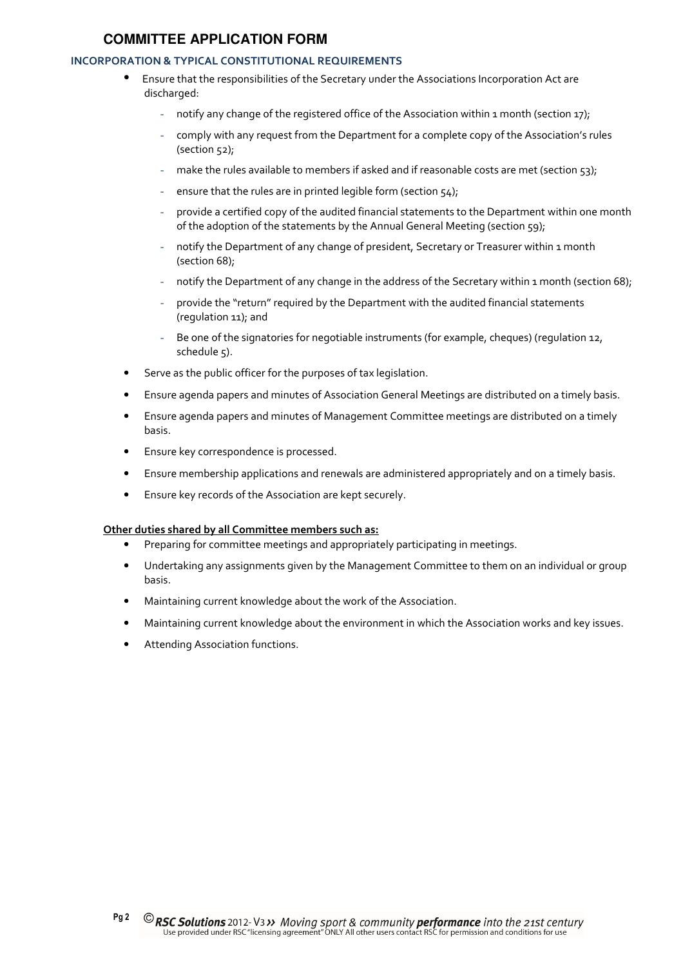## INCORPORATION & TYPICAL CONSTITUTIONAL REQUIREMENTS

- Ensure that the responsibilities of the Secretary under the Associations Incorporation Act are discharged:
	- notify any change of the registered office of the Association within 1 month (section 17);
	- comply with any request from the Department for a complete copy of the Association's rules (section 52);
	- make the rules available to members if asked and if reasonable costs are met (section 53);
	- ensure that the rules are in printed legible form (section 54);
	- provide a certified copy of the audited financial statements to the Department within one month of the adoption of the statements by the Annual General Meeting (section 59);
	- notify the Department of any change of president, Secretary or Treasurer within 1 month (section 68);
	- notify the Department of any change in the address of the Secretary within 1 month (section 68);
	- provide the "return" required by the Department with the audited financial statements (regulation 11); and
	- Be one of the signatories for negotiable instruments (for example, cheques) (regulation 12, schedule 5).
- Serve as the public officer for the purposes of tax legislation.
- Ensure agenda papers and minutes of Association General Meetings are distributed on a timely basis.
- Ensure agenda papers and minutes of Management Committee meetings are distributed on a timely basis.
- Ensure key correspondence is processed.
- Ensure membership applications and renewals are administered appropriately and on a timely basis.
- Ensure key records of the Association are kept securely.

#### Other duties shared by all Committee members such as:

- Preparing for committee meetings and appropriately participating in meetings.
- Undertaking any assignments given by the Management Committee to them on an individual or group basis.
- Maintaining current knowledge about the work of the Association.
- Maintaining current knowledge about the environment in which the Association works and key issues.
- Attending Association functions.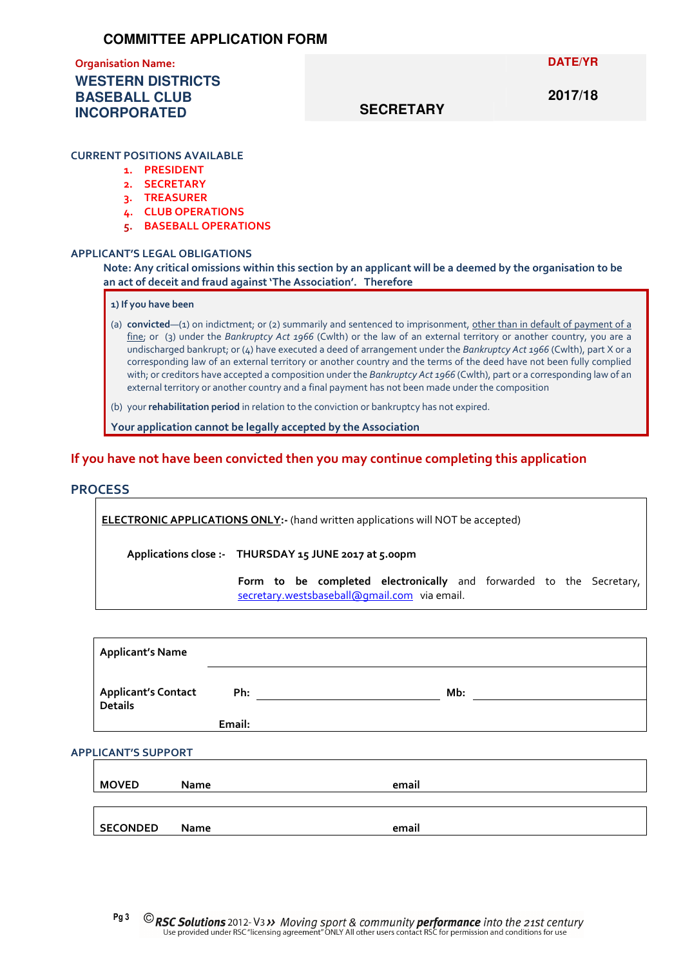# Organisation Name: **WESTERN DISTRICTS BASEBALL CLUB INCORPORATED**

#### **DATE/YR**

# **SECRETARY**

# **2017/18**

#### CURRENT POSITIONS AVAILABLE

- 1. PRESIDENT
- 2. SECRETARY
- 3. TREASURER
- 4. CLUB OPERATIONS
- 5. BASEBALL OPERATIONS

#### APPLICANT'S LEGAL OBLIGATIONS

Note: Any critical omissions within this section by an applicant will be a deemed by the organisation to be an act of deceit and fraud against 'The Association'. Therefore

#### 1) If you have been

(a) convicted—(1) on indictment; or (2) summarily and sentenced to imprisonment, other than in default of payment of a fine; or (3) under the Bankruptcy Act 1966 (Cwlth) or the law of an external territory or another country, you are a undischarged bankrupt; or (4) have executed a deed of arrangement under the Bankruptcy Act 1966 (Cwlth), part X or a corresponding law of an external territory or another country and the terms of the deed have not been fully complied with; or creditors have accepted a composition under the Bankruptcy Act 1966 (Cwlth), part or a corresponding law of an external territory or another country and a final payment has not been made under the composition

(b) your rehabilitation period in relation to the conviction or bankruptcy has not expired.

Your application cannot be legally accepted by the Association

## If you have not have been convicted then you may continue completing this application

### **PROCESS**

ELECTRONIC APPLICATIONS ONLY:- (hand written applications will NOT be accepted)

Applications close :- THURSDAY 15 JUNE 2017 at 5.00pm

Form to be completed electronically and forwarded to the Secretary, secretary.westsbaseball@gmail.com via email.

| <b>Applicant's Name</b>    |             |       |  |
|----------------------------|-------------|-------|--|
| <b>Applicant's Contact</b> | Ph:         | Mb:   |  |
| <b>Details</b>             | Email:      |       |  |
| <b>APPLICANT'S SUPPORT</b> |             |       |  |
| <b>MOVED</b>               | <b>Name</b> | email |  |
|                            |             |       |  |
| <b>SECONDED</b>            | <b>Name</b> | email |  |